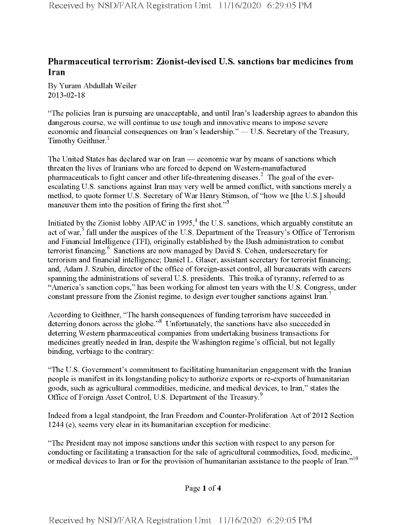## **Pharmaceutical terrorism: Zionist-devised U.S. sanctions bar medicines from Iran**

By Yuram Abdullah Weiler 2013-02-18

"The policies Iran is pursuing are unacceptable, and until Iran's leadership agrees to abandon this dangerous course, we will continue to use tough and innovative means to impose severe economic and financial consequences on Iran's leadership." — U.S. Secretary of the Treasury, Timothy Geithner.<sup>1</sup>

The United States has declared war on Iran — economic war by means ofsanctions which threaten the lives of Iranians who are forced to depend on Western-manufactured pharmaceuticals to fight cancer and other life-threatening diseases.<sup>2</sup> The goal of the everescalating U.S. sanctions against Iran may very well be armed conflict, with sanctions merely a method, to quote former U.S. Secretary of War Henry Stimson, of "how we [the U.S.] should maneuver them into the position of firing the first shot."<sup>3</sup>

Initiated by the Zionist lobby AIPAC in 1995,<sup>4</sup> the U.S. sanctions, which arguably constitute an act of war,<sup>5</sup> fall under the auspices of the U.S. Department of the Treasury's Office of Terrorism and Financial Intelligence (TFI), originally established by the Bush administration to combat terrorist financing.<sup>6</sup> Sanctions are now managed by David S. Cohen, undersecretary for terrorism and financial intelligence; Daniel L. Glaser, assistant secretary for terrorist financing; and, Adam J. Szubin, director of the office of foreign-asset control, all bureaucrats with careers spanning the administrations of several U.S. presidents. This troika of tyranny, referred to as "America's sanction cops," has been working for almost ten years with the U.S. Congress, under constant pressure from the Zionist regime, to design ever tougher sanctions against Iran.<sup>7</sup>

According to Geithner, "The harsh consequences of funding terrorism have succeeded in deterring donors across the globe."<sup>8</sup> Unfortunately, the sanctions have also succeeded in deterring Western pharmaceutical companies from undertaking business transactions for medicines greatly needed in Iran, despite the Washington regime's official, but not legally binding, verbiage to the contrary:

"The U.S. Government's commitment to facilitating humanitarian engagement with the Iranian people is manifest in its longstanding policy to authorize exports or re-exports of humanitarian goods, such as agricultural commodities, medicine, and medical devices, to Iran," states the Office of Foreign Asset Control, U.S. Department of the Treasury.<sup>9</sup>

Indeed from a legal standpoint, the Iran Freedom and Counter-Proliferation Act of 2012 Section 1244 (e), seems very clear in its humanitarian exception for medicine:

"The President may not impose sanctions under this section with respect to any person for conducting or facilitating a transaction for the sale of agricultural commodities, food, medicine, or medical devices to Iran or for the provision of humanitarian assistance to the people of Iran."<sup>10</sup>

Page <sup>1</sup> of 4

Received by NSD/FARA Registration Unit 11/16/2020 6:29:05 PM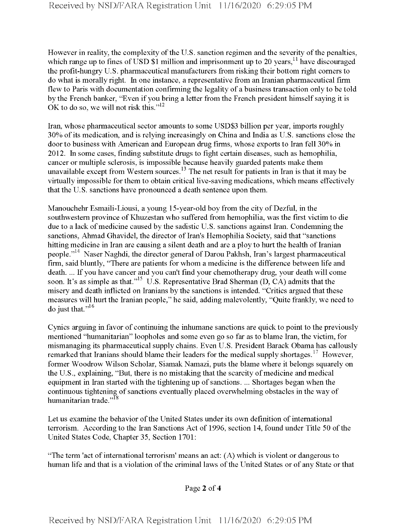However in reality, the complexity of the U.S. sanction regimen and the severity of the penalties, which range up to fines of USD \$1 million and imprisonment up to 20 years,<sup>11</sup> have discouraged the profit-hungry U.S. pharmaceutical manufacturers from risking their bottom right comers to do what is morally right. In one instance, a representative from an Iranian pharmaceutical firm flew to Paris with documentation confirming the legality of a business transaction only to be told by the French banker, "Even if you bring a letter from the French president himself saying it is OK to do so, we will not risk this."<sup>12</sup>

Iran, whose pharmaceutical sector amounts to some USDS3 billion per year, imports roughly 30% of its medication, and is relying increasingly on China and India as U.S. sanctions close the door to business with American and European drug firms, whose exports to Iran fell 30% in 2012. In some cases, finding substitute dmgs to fight certain diseases, such as hemophilia, cancer or multiple sclerosis, is impossible because heavily guarded patents make them unavailable except from Western sources.<sup>13</sup> The net result for patients in Iran is that it may be virtually impossible for them to obtain critical live-saving medications, which means effectively that the U.S. sanctions have pronounced a death sentence upon them.

Manouchehr Esmaili-Liousi, a young 15-year-old boy from the city of Dezful, in the southwestern province of Khuzestan who suffered from hemophilia, was the first victim to die due to a lack of medicine caused by the sadistic U.S. sanctions against Iran. Condemning the sanctions, Ahmad Ghavidel, the director of Iran's Hemophilia Society, said that "sanctions hitting medicine in Iran are causing a silent death and are a ploy to hurt the health of Iranian people."<sup>14</sup> Naser Naghdi, the director general of Darou Pakhsh, Iran's largest pharmaceutical firm, said bluntly, "There are patients for whom a medicine is the difference between life and death. ... If you have cancer and you can't find your chemotherapy drug, your death will come soon. It's as simple as that."<sup>15</sup> U.S. Representative Brad Sherman (D, CA) admits that the misery and death inflicted on Iranians by the sanctions is intended. "Critics argued that these measures will hurt the Iranian people," he said, adding malevolently, "Quite frankly, we need to do just that  $^{,16}$ 

Cynics arguing in favor of continuing the inhumane sanctions are quick to point to the previously mentioned "humanitarian" loopholes and some even go so far as to blame Iran, the victim, for mismanaging its pharmaceutical supply chains. Even U.S. President Barack Obama has callously remarked that Iranians should blame their leaders for the medical supply shortages.<sup>17</sup> However, former Woodrow Wilson Scholar, Siamak Namazi, puts the blame where it belongs squarely on the U.S., explaining, "But, there is no mistaking that the scarcity of medicine and medical equipment in Iran started with the tightening up of sanctions. ... Shortages began when the continuous tightening of sanctions eventually placed overwhelming obstacles in the way of humanitarian trade."<sup>18</sup>

Let us examine the behavior of the United States under its own definition of international terrorism. According to the Iran Sanctions Act of 1996, section 14, found under Title 50 ofthe United States Code, Chapter 35, Section 1701:

"The term 'act of international terrorism' means an act:  $(A)$  which is violent or dangerous to human life and that is a violation of the criminal laws of the United States or of any State or that

Page 2 of 4

Received by NSD/FARA Registration Unit 11/16/2020 6:29:05 PM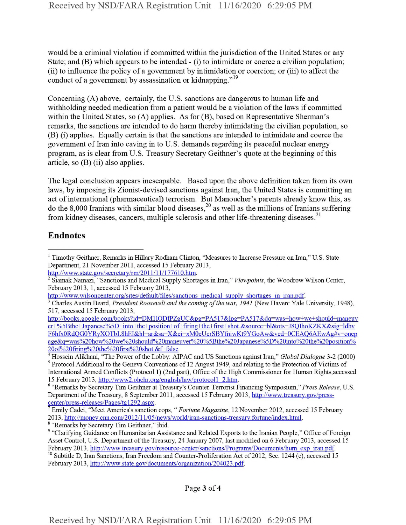would be a criminal violation if committed within the jurisdiction of the United States or any State; and (B) which appears to be intended - (i) to intimidate or coerce a civilian population; (ii) to influence the policy of a government by intimidation or coercion; or (iii) to affect the conduct of a government by assassination or kidnapping."<sup>19</sup>

Concerning (A) above, certainly, the U.S. sanctions are dangerous to human life and withholding needed medication from a patient would be a violation of the laws if committed within the United States, so (A) applies. As for (B), based on Representative Sherman's remarks, the sanctions are intended to do harm thereby intimidating the civilian population, so (B) (i) applies. Equally certain is that the sanctions are intended to intimidate and coerce the government of Iran into caving in to U.S. demands regarding its peaceful nuclear energy program, as is clear from U.S. Treasury Secretary Geithner's quote at the beginning of this article, so (B) (ii) also applies.

The legal conclusion appears inescapable. Based upon the above definition taken from its own laws, by imposing its Zionist-devised sanctions against Iran, the United States is committing an act of international (pharmaceutical) terrorism. But Manoucher's parents already know this, as do the 8,000 Iranians with similar blood diseases,  $2^0$  as well as the millions of Iranians suffering from kidney diseases, cancers, multiple sclerosis and other life-threatening diseases.<sup>21</sup>

## **Endnotes**

http://www.state.gov/secretary/rm/2011/1 l/177610.htm.

<sup>8</sup> "Remarks by Secretary Tim Geithner," ibid.

Page 3 of 4

<sup>1</sup> Timothy Geithner, Remarks in Hillary Rodham Clinton, "Measures to Increase Pressure on Iran," U.S. State Department, 21 November 2011, accessed 15 February 2013,

<sup>2</sup> Siamak Namazi, "Sanctions and Medical Supply Shortages in Iran," *Viewpoints,* the Woodrow Wilson Center, February 2013, 1, accessed 15 February 2013,

http://www.wilsoncenter.org/sites/default/files/sanctions medical supply shortages in iran.pdf.

<sup>3</sup> Charles Austin Beard, *President Roosevelt and the coming ofthe war, 1941* (New Haven: Yale University, 1948), 517, accessed 15 February 2013,

http://books.google.combooks?id=DM110DfPZgUC&pg=PA517&lpg=PA517&dq=was+how+we+should+maneuv er+%5Bthe+Japanese%5D+into+the+position+of+firing+the+first+shot.&source=bl&ots=J80IhoKZKX&sig=ldhv FbhfxORdOGOYRvXOTbL8hEI&hl=ar&sa=X&ei=xMOeUerSBYfmwKt9YGoAw&ved=0CEAQ6AEwAg#v=onep age&q=was%20how%20we%20should%20maneuver%20%5Bthe%20Japanese%5D%20into%20the%20position% 20of%20firing%20the%20first%20shot.&f=false.

<sup>4</sup> Hossem Alikham, "The Power ofthe Lobby: AIPAC and US Sanctions against Iran," *GlobalDialogue* 3-2 (2000)

<sup>&</sup>lt;sup>5</sup> Protocol Additional to the Geneva Conventions of 12 August 1949, and relating to the Protection of Victims of International Armed Conflicts (Protocol 1) (2nd part), Office of the High Commissioner for Human Rights,accessed 15 February 2013, http://www2.ohchr.org/english/law/protocoll\_2.htm.

<sup>6</sup> "Remarks by Secretary Tim Geithner at Treasury's Counter-Terrorist Financing Symposium," *Press Release,* U.S. Department of the Treasury, 8 September 2011, accessed 15 February 2013, http://www.treasury.gov/presscenter/press-releases/Pages/tgl292.aspx.

<sup>7</sup> Emily Cadei, "Meet America's sanction cops, " *Fortune Magazine,* 12 November 2012, accessed 15 February 2013, http://monev.cnn.eom/2012/l 1/05/news/world/iran-sanctions-treasury.fortune/index.html.

<sup>&</sup>lt;sup>9</sup> "Clarifying Guidance on Humanitarian Assistance and Related Exports to the Iranian People," Office of Foreign Asset Control, U.S. Department ofthe Treasury, 24 January 2007, last modified on 6 February 2013, accessed <sup>15</sup> February 2013, http://www.treasury.gov/resource-center/sanctions/Programs/Documents/hum exp iran.pdf.

<sup>&</sup>lt;sup>10</sup> Subtitle D, Iran Sanctions, Iran Freedom and Counter-Proliferation Act of 2012, Sec. 1244 (e), accessed 15 February 2013, http://www.state.gov/documents/organization/204023.pdf.